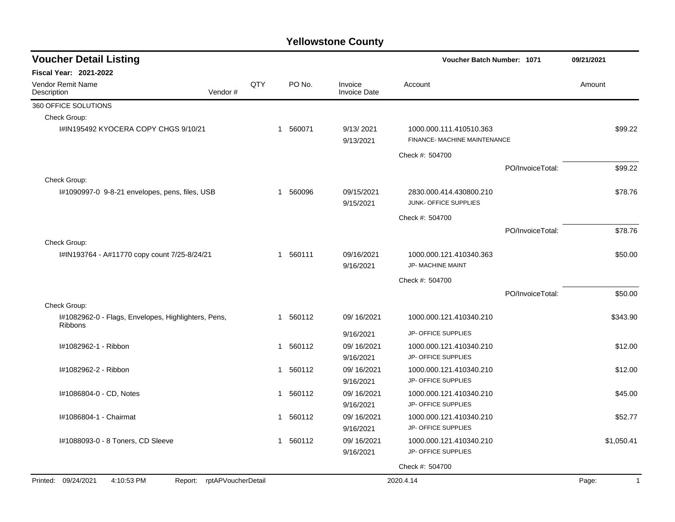| <b>Voucher Detail Listing</b>                                         |     |              |        | Voucher Batch Number: 1071     | 09/21/2021                                              |                  |        |              |
|-----------------------------------------------------------------------|-----|--------------|--------|--------------------------------|---------------------------------------------------------|------------------|--------|--------------|
| <b>Fiscal Year: 2021-2022</b>                                         |     |              |        |                                |                                                         |                  |        |              |
| <b>Vendor Remit Name</b><br>Description<br>Vendor#                    | QTY |              | PO No. | Invoice<br><b>Invoice Date</b> | Account                                                 |                  | Amount |              |
| 360 OFFICE SOLUTIONS                                                  |     |              |        |                                |                                                         |                  |        |              |
| Check Group:                                                          |     |              |        |                                |                                                         |                  |        |              |
| I#IN195492 KYOCERA COPY CHGS 9/10/21                                  |     | $\mathbf{1}$ | 560071 | 9/13/2021<br>9/13/2021         | 1000.000.111.410510.363<br>FINANCE- MACHINE MAINTENANCE |                  |        | \$99.22      |
|                                                                       |     |              |        |                                | Check #: 504700                                         |                  |        |              |
|                                                                       |     |              |        |                                |                                                         | PO/InvoiceTotal: |        | \$99.22      |
| Check Group:                                                          |     |              |        |                                |                                                         |                  |        |              |
| I#1090997-0 9-8-21 envelopes, pens, files, USB                        |     | $\mathbf 1$  | 560096 | 09/15/2021<br>9/15/2021        | 2830.000.414.430800.210<br>JUNK- OFFICE SUPPLIES        |                  |        | \$78.76      |
|                                                                       |     |              |        |                                | Check #: 504700                                         |                  |        |              |
|                                                                       |     |              |        |                                |                                                         | PO/InvoiceTotal: |        | \$78.76      |
| Check Group:                                                          |     |              |        |                                |                                                         |                  |        |              |
| I#IN193764 - A#11770 copy count 7/25-8/24/21                          |     | $\mathbf 1$  | 560111 | 09/16/2021<br>9/16/2021        | 1000.000.121.410340.363<br>JP- MACHINE MAINT            |                  |        | \$50.00      |
|                                                                       |     |              |        |                                | Check #: 504700                                         |                  |        |              |
|                                                                       |     |              |        |                                |                                                         | PO/InvoiceTotal: |        | \$50.00      |
| Check Group:                                                          |     |              |        |                                |                                                         |                  |        |              |
| I#1082962-0 - Flags, Envelopes, Highlighters, Pens,<br><b>Ribbons</b> |     | $\mathbf{1}$ | 560112 | 09/16/2021                     | 1000.000.121.410340.210                                 |                  |        | \$343.90     |
|                                                                       |     |              |        | 9/16/2021                      | JP- OFFICE SUPPLIES                                     |                  |        |              |
| I#1082962-1 - Ribbon                                                  |     | 1            | 560112 | 09/16/2021<br>9/16/2021        | 1000.000.121.410340.210<br>JP- OFFICE SUPPLIES          |                  |        | \$12.00      |
| I#1082962-2 - Ribbon                                                  |     | $\mathbf 1$  | 560112 | 09/16/2021                     | 1000.000.121.410340.210                                 |                  |        | \$12.00      |
|                                                                       |     |              |        | 9/16/2021                      | JP- OFFICE SUPPLIES                                     |                  |        |              |
| I#1086804-0 - CD, Notes                                               |     | $\mathbf{1}$ | 560112 | 09/16/2021                     | 1000.000.121.410340.210                                 |                  |        | \$45.00      |
|                                                                       |     |              |        | 9/16/2021                      | JP- OFFICE SUPPLIES                                     |                  |        |              |
| I#1086804-1 - Chairmat                                                |     | 1            | 560112 | 09/16/2021                     | 1000.000.121.410340.210                                 |                  |        | \$52.77      |
|                                                                       |     |              |        | 9/16/2021                      | JP- OFFICE SUPPLIES                                     |                  |        |              |
| I#1088093-0 - 8 Toners, CD Sleeve                                     |     | 1            | 560112 | 09/16/2021<br>9/16/2021        | 1000.000.121.410340.210<br>JP- OFFICE SUPPLIES          |                  |        | \$1,050.41   |
|                                                                       |     |              |        |                                | Check #: 504700                                         |                  |        |              |
| Printed: 09/24/2021<br>4:10:53 PM<br>Report: rptAPVoucherDetail       |     |              |        |                                | 2020.4.14                                               |                  | Page:  | $\mathbf{1}$ |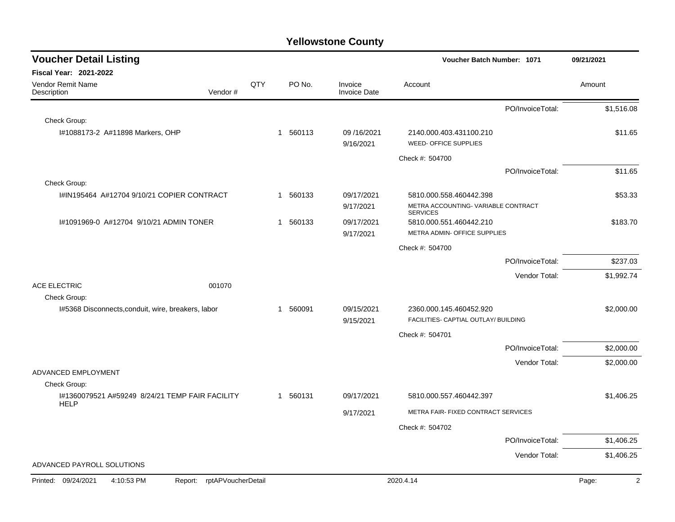| <b>Voucher Detail Listing</b>                                      |     |             |                                | Voucher Batch Number: 1071                                      |                  | 09/21/2021              |
|--------------------------------------------------------------------|-----|-------------|--------------------------------|-----------------------------------------------------------------|------------------|-------------------------|
| <b>Fiscal Year: 2021-2022</b>                                      |     |             |                                |                                                                 |                  |                         |
| Vendor Remit Name<br>Vendor#<br>Description                        | QTY | PO No.      | Invoice<br><b>Invoice Date</b> | Account                                                         |                  | Amount                  |
|                                                                    |     |             |                                |                                                                 | PO/InvoiceTotal: | \$1,516.08              |
| Check Group:                                                       |     |             |                                |                                                                 |                  |                         |
| I#1088173-2 A#11898 Markers, OHP                                   |     | 560113<br>1 | 09/16/2021<br>9/16/2021        | 2140.000.403.431100.210<br>WEED- OFFICE SUPPLIES                |                  | \$11.65                 |
|                                                                    |     |             |                                | Check #: 504700                                                 |                  |                         |
|                                                                    |     |             |                                |                                                                 | PO/InvoiceTotal: | \$11.65                 |
| Check Group:                                                       |     |             |                                |                                                                 |                  |                         |
| I#IN195464 A#12704 9/10/21 COPIER CONTRACT                         |     | 560133<br>1 | 09/17/2021                     | 5810.000.558.460442.398                                         |                  | \$53.33                 |
|                                                                    |     |             | 9/17/2021                      | METRA ACCOUNTING-VARIABLE CONTRACT<br><b>SERVICES</b>           |                  |                         |
| 1#1091969-0 A#12704 9/10/21 ADMIN TONER                            |     | 1 560133    | 09/17/2021                     | 5810.000.551.460442.210                                         |                  | \$183.70                |
|                                                                    |     |             | 9/17/2021                      | METRA ADMIN- OFFICE SUPPLIES                                    |                  |                         |
|                                                                    |     |             |                                | Check #: 504700                                                 |                  |                         |
|                                                                    |     |             |                                |                                                                 | PO/InvoiceTotal: | \$237.03                |
|                                                                    |     |             |                                |                                                                 | Vendor Total:    | \$1,992.74              |
| <b>ACE ELECTRIC</b><br>001070                                      |     |             |                                |                                                                 |                  |                         |
| Check Group:                                                       |     |             |                                |                                                                 |                  |                         |
| I#5368 Disconnects, conduit, wire, breakers, labor                 |     | 560091<br>1 | 09/15/2021<br>9/15/2021        | 2360.000.145.460452.920<br>FACILITIES- CAPTIAL OUTLAY/ BUILDING |                  | \$2,000.00              |
|                                                                    |     |             |                                | Check #: 504701                                                 |                  |                         |
|                                                                    |     |             |                                |                                                                 | PO/InvoiceTotal: | \$2,000.00              |
|                                                                    |     |             |                                |                                                                 | Vendor Total:    | \$2,000.00              |
| ADVANCED EMPLOYMENT                                                |     |             |                                |                                                                 |                  |                         |
| Check Group:                                                       |     |             |                                |                                                                 |                  |                         |
| I#1360079521 A#59249 8/24/21 TEMP FAIR FACILITY<br><b>HELP</b>     |     | 1 560131    | 09/17/2021                     | 5810.000.557.460442.397                                         |                  | \$1,406.25              |
|                                                                    |     |             | 9/17/2021                      | METRA FAIR- FIXED CONTRACT SERVICES                             |                  |                         |
|                                                                    |     |             |                                | Check #: 504702                                                 |                  |                         |
|                                                                    |     |             |                                |                                                                 | PO/InvoiceTotal: | \$1,406.25              |
|                                                                    |     |             |                                |                                                                 | Vendor Total:    | \$1,406.25              |
| ADVANCED PAYROLL SOLUTIONS                                         |     |             |                                |                                                                 |                  |                         |
| Printed: 09/24/2021<br>4:10:53 PM<br>rptAPVoucherDetail<br>Report: |     |             |                                | 2020.4.14                                                       |                  | Page:<br>$\overline{2}$ |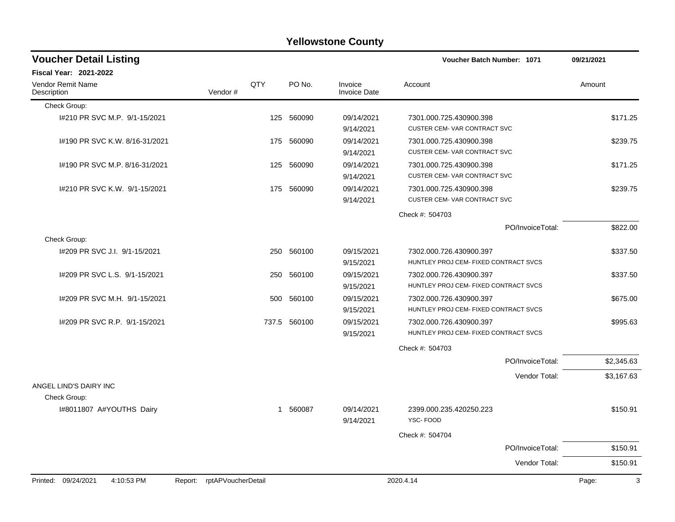| <b>Voucher Detail Listing</b>          |                               |     |              |                                | <b>Voucher Batch Number: 1071</b>                                | 09/21/2021 |
|----------------------------------------|-------------------------------|-----|--------------|--------------------------------|------------------------------------------------------------------|------------|
| Fiscal Year: 2021-2022                 |                               |     |              |                                |                                                                  |            |
| Vendor Remit Name<br>Description       | Vendor#                       | QTY | PO No.       | Invoice<br><b>Invoice Date</b> | Account                                                          | Amount     |
| Check Group:                           |                               |     |              |                                |                                                                  |            |
| 1#210 PR SVC M.P. 9/1-15/2021          |                               |     | 125 560090   | 09/14/2021<br>9/14/2021        | 7301.000.725.430900.398<br>CUSTER CEM-VAR CONTRACT SVC           | \$171.25   |
| 1#190 PR SVC K.W. 8/16-31/2021         |                               |     | 175 560090   | 09/14/2021<br>9/14/2021        | 7301.000.725.430900.398<br><b>CUSTER CEM- VAR CONTRACT SVC</b>   | \$239.75   |
| I#190 PR SVC M.P. 8/16-31/2021         |                               |     | 125 560090   | 09/14/2021<br>9/14/2021        | 7301.000.725.430900.398<br><b>CUSTER CEM- VAR CONTRACT SVC</b>   | \$171.25   |
| 1#210 PR SVC K.W. 9/1-15/2021          |                               |     | 175 560090   | 09/14/2021<br>9/14/2021        | 7301.000.725.430900.398<br>CUSTER CEM-VAR CONTRACT SVC           | \$239.75   |
|                                        |                               |     |              |                                | Check #: 504703                                                  |            |
|                                        |                               |     |              |                                | PO/InvoiceTotal:                                                 | \$822.00   |
| Check Group:                           |                               |     |              |                                |                                                                  |            |
| 1#209 PR SVC J.I. 9/1-15/2021          |                               |     | 250 560100   | 09/15/2021<br>9/15/2021        | 7302.000.726.430900.397<br>HUNTLEY PROJ CEM- FIXED CONTRACT SVCS | \$337.50   |
| I#209 PR SVC L.S. 9/1-15/2021          |                               | 250 | 560100       | 09/15/2021<br>9/15/2021        | 7302.000.726.430900.397<br>HUNTLEY PROJ CEM- FIXED CONTRACT SVCS | \$337.50   |
| 1#209 PR SVC M.H. 9/1-15/2021          |                               | 500 | 560100       | 09/15/2021<br>9/15/2021        | 7302.000.726.430900.397<br>HUNTLEY PROJ CEM- FIXED CONTRACT SVCS | \$675.00   |
| I#209 PR SVC R.P. 9/1-15/2021          |                               |     | 737.5 560100 | 09/15/2021<br>9/15/2021        | 7302.000.726.430900.397<br>HUNTLEY PROJ CEM- FIXED CONTRACT SVCS | \$995.63   |
|                                        |                               |     |              |                                | Check #: 504703                                                  |            |
|                                        |                               |     |              |                                | PO/InvoiceTotal:                                                 | \$2,345.63 |
|                                        |                               |     |              |                                | Vendor Total:                                                    | \$3,167.63 |
| ANGEL LIND'S DAIRY INC<br>Check Group: |                               |     |              |                                |                                                                  |            |
| I#8011807 A#YOUTHS Dairy               |                               |     | 1 560087     | 09/14/2021<br>9/14/2021        | 2399.000.235.420250.223<br>YSC-FOOD                              | \$150.91   |
|                                        |                               |     |              |                                | Check #: 504704                                                  |            |
|                                        |                               |     |              |                                | PO/InvoiceTotal:                                                 | \$150.91   |
|                                        |                               |     |              |                                | Vendor Total:                                                    | \$150.91   |
| Printed: 09/24/2021<br>4:10:53 PM      | rptAPVoucherDetail<br>Report: |     |              |                                | 2020.4.14                                                        | 3<br>Page: |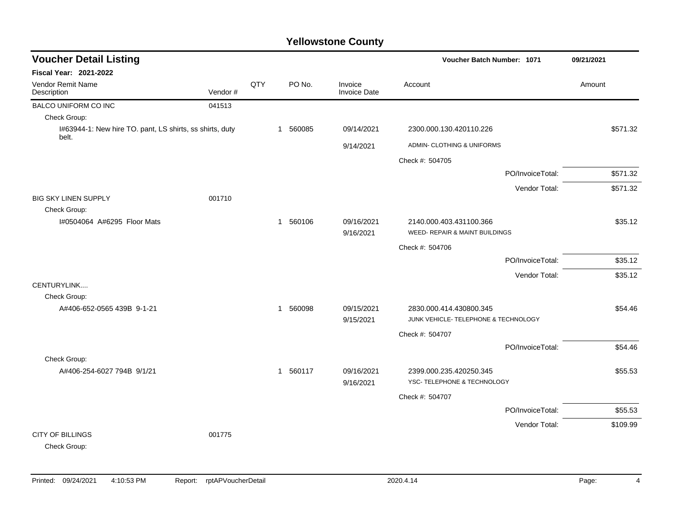| <b>Voucher Detail Listing</b>                                     |         |     |              |          |                                | Voucher Batch Number: 1071                                      | 09/21/2021 |
|-------------------------------------------------------------------|---------|-----|--------------|----------|--------------------------------|-----------------------------------------------------------------|------------|
| Fiscal Year: 2021-2022                                            |         |     |              |          |                                |                                                                 |            |
| Vendor Remit Name<br>Description                                  | Vendor# | QTY |              | PO No.   | Invoice<br><b>Invoice Date</b> | Account                                                         | Amount     |
| BALCO UNIFORM CO INC                                              | 041513  |     |              |          |                                |                                                                 |            |
| Check Group:                                                      |         |     |              |          |                                |                                                                 |            |
| I#63944-1: New hire TO. pant, LS shirts, ss shirts, duty<br>belt. |         |     |              | 1 560085 | 09/14/2021                     | 2300.000.130.420110.226                                         | \$571.32   |
|                                                                   |         |     |              |          | 9/14/2021                      | ADMIN- CLOTHING & UNIFORMS                                      |            |
|                                                                   |         |     |              |          |                                | Check #: 504705                                                 |            |
|                                                                   |         |     |              |          |                                | PO/InvoiceTotal:                                                | \$571.32   |
|                                                                   |         |     |              |          |                                | Vendor Total:                                                   | \$571.32   |
| <b>BIG SKY LINEN SUPPLY</b>                                       | 001710  |     |              |          |                                |                                                                 |            |
| Check Group:                                                      |         |     |              |          |                                |                                                                 |            |
| I#0504064 A#6295 Floor Mats                                       |         |     | $\mathbf{1}$ | 560106   | 09/16/2021<br>9/16/2021        | 2140.000.403.431100.366<br>WEED- REPAIR & MAINT BUILDINGS       | \$35.12    |
|                                                                   |         |     |              |          |                                | Check #: 504706                                                 |            |
|                                                                   |         |     |              |          |                                | PO/InvoiceTotal:                                                | \$35.12    |
|                                                                   |         |     |              |          |                                | Vendor Total:                                                   | \$35.12    |
| CENTURYLINK                                                       |         |     |              |          |                                |                                                                 |            |
| Check Group:                                                      |         |     |              |          |                                |                                                                 |            |
| A#406-652-0565 439B 9-1-21                                        |         |     | $\mathbf{1}$ | 560098   | 09/15/2021<br>9/15/2021        | 2830.000.414.430800.345<br>JUNK VEHICLE- TELEPHONE & TECHNOLOGY | \$54.46    |
|                                                                   |         |     |              |          |                                | Check #: 504707                                                 |            |
|                                                                   |         |     |              |          |                                | PO/InvoiceTotal:                                                | \$54.46    |
| Check Group:                                                      |         |     |              |          |                                |                                                                 |            |
| A#406-254-6027 794B 9/1/21                                        |         |     |              | 1 560117 | 09/16/2021                     | 2399.000.235.420250.345                                         | \$55.53    |
|                                                                   |         |     |              |          | 9/16/2021                      | YSC- TELEPHONE & TECHNOLOGY                                     |            |
|                                                                   |         |     |              |          |                                | Check #: 504707                                                 |            |
|                                                                   |         |     |              |          |                                | PO/InvoiceTotal:                                                | \$55.53    |
|                                                                   |         |     |              |          |                                | Vendor Total:                                                   | \$109.99   |
| <b>CITY OF BILLINGS</b><br>Check Group:                           | 001775  |     |              |          |                                |                                                                 |            |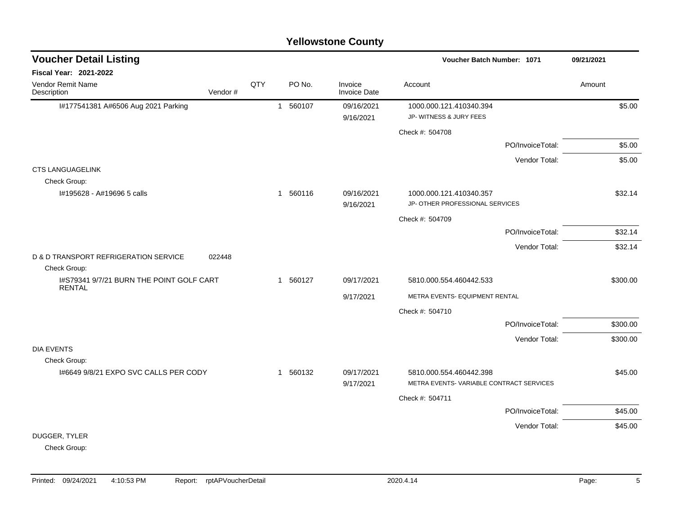|                                                                            |     |              |          | <b>Yellowstone County</b>      |                                                                    |                  |            |
|----------------------------------------------------------------------------|-----|--------------|----------|--------------------------------|--------------------------------------------------------------------|------------------|------------|
| <b>Voucher Detail Listing</b>                                              |     |              |          |                                | Voucher Batch Number: 1071                                         |                  | 09/21/2021 |
| <b>Fiscal Year: 2021-2022</b>                                              |     |              |          |                                |                                                                    |                  |            |
| <b>Vendor Remit Name</b><br>Description<br>Vendor#                         | QTY |              | PO No.   | Invoice<br><b>Invoice Date</b> | Account                                                            |                  | Amount     |
| I#177541381 A#6506 Aug 2021 Parking                                        |     | $\mathbf{1}$ | 560107   | 09/16/2021<br>9/16/2021        | 1000.000.121.410340.394<br>JP- WITNESS & JURY FEES                 |                  | \$5.00     |
|                                                                            |     |              |          |                                | Check #: 504708                                                    |                  |            |
|                                                                            |     |              |          |                                |                                                                    | PO/InvoiceTotal: | \$5.00     |
|                                                                            |     |              |          |                                |                                                                    | Vendor Total:    | \$5.00     |
| <b>CTS LANGUAGELINK</b><br>Check Group:                                    |     |              |          |                                |                                                                    |                  |            |
| #195628 - A#19696 5 calls                                                  |     |              | 1 560116 | 09/16/2021<br>9/16/2021        | 1000.000.121.410340.357<br>JP- OTHER PROFESSIONAL SERVICES         |                  | \$32.14    |
|                                                                            |     |              |          |                                | Check #: 504709                                                    |                  |            |
|                                                                            |     |              |          |                                |                                                                    | PO/InvoiceTotal: | \$32.14    |
|                                                                            |     |              |          |                                |                                                                    | Vendor Total:    | \$32.14    |
| <b>D &amp; D TRANSPORT REFRIGERATION SERVICE</b><br>022448<br>Check Group: |     |              |          |                                |                                                                    |                  |            |
| I#S79341 9/7/21 BURN THE POINT GOLF CART<br><b>RENTAL</b>                  |     |              | 1 560127 | 09/17/2021                     | 5810.000.554.460442.533                                            |                  | \$300.00   |
|                                                                            |     |              |          | 9/17/2021                      | METRA EVENTS- EQUIPMENT RENTAL                                     |                  |            |
|                                                                            |     |              |          |                                | Check #: 504710                                                    |                  |            |
|                                                                            |     |              |          |                                |                                                                    | PO/InvoiceTotal: | \$300.00   |
|                                                                            |     |              |          |                                |                                                                    | Vendor Total:    | \$300.00   |
| <b>DIA EVENTS</b><br>Check Group:                                          |     |              |          |                                |                                                                    |                  |            |
| I#6649 9/8/21 EXPO SVC CALLS PER CODY                                      |     |              | 1 560132 | 09/17/2021<br>9/17/2021        | 5810.000.554.460442.398<br>METRA EVENTS-VARIABLE CONTRACT SERVICES |                  | \$45.00    |
|                                                                            |     |              |          |                                | Check #: 504711                                                    |                  |            |
|                                                                            |     |              |          |                                |                                                                    | PO/InvoiceTotal: | \$45.00    |
|                                                                            |     |              |          |                                |                                                                    | Vendor Total:    | \$45.00    |
| DUGGER, TYLER<br>Chack                                                     |     |              |          |                                |                                                                    |                  |            |

Check Group: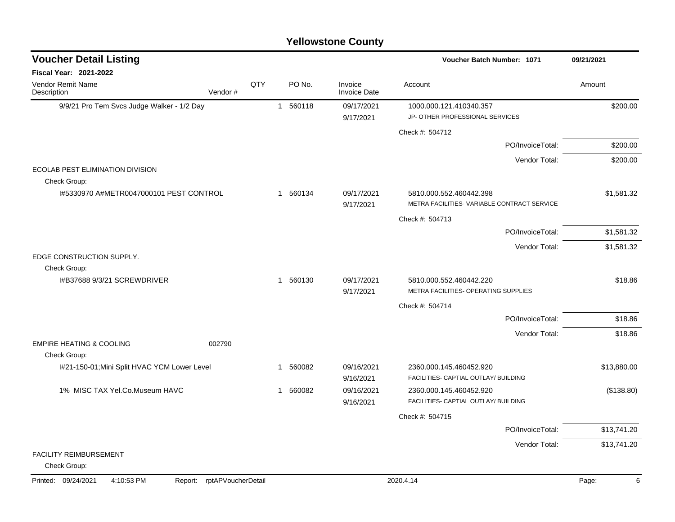|                                                              |                            |     |                        | <b>Yellowstone County</b>      |                                                                        |             |
|--------------------------------------------------------------|----------------------------|-----|------------------------|--------------------------------|------------------------------------------------------------------------|-------------|
| <b>Voucher Detail Listing</b>                                |                            |     |                        |                                | <b>Voucher Batch Number: 1071</b>                                      | 09/21/2021  |
| <b>Fiscal Year: 2021-2022</b>                                |                            |     |                        |                                |                                                                        |             |
| Vendor Remit Name<br>Description                             | Vendor#                    | QTY | PO No.                 | Invoice<br><b>Invoice Date</b> | Account                                                                | Amount      |
| 9/9/21 Pro Tem Svcs Judge Walker - 1/2 Day                   |                            |     | 560118<br>$\mathbf{1}$ | 09/17/2021                     | 1000.000.121.410340.357                                                | \$200.00    |
|                                                              |                            |     |                        | 9/17/2021                      | JP- OTHER PROFESSIONAL SERVICES                                        |             |
|                                                              |                            |     |                        |                                | Check #: 504712                                                        |             |
|                                                              |                            |     |                        |                                | PO/InvoiceTotal:                                                       | \$200.00    |
|                                                              |                            |     |                        |                                | Vendor Total:                                                          | \$200.00    |
| ECOLAB PEST ELIMINATION DIVISION                             |                            |     |                        |                                |                                                                        |             |
| Check Group:                                                 |                            |     |                        |                                |                                                                        |             |
| I#5330970 A#METR0047000101 PEST CONTROL                      |                            |     | 1 560134               | 09/17/2021<br>9/17/2021        | 5810.000.552.460442.398<br>METRA FACILITIES- VARIABLE CONTRACT SERVICE | \$1,581.32  |
|                                                              |                            |     |                        |                                | Check #: 504713                                                        |             |
|                                                              |                            |     |                        |                                | PO/InvoiceTotal:                                                       | \$1,581.32  |
|                                                              |                            |     |                        |                                | Vendor Total:                                                          | \$1,581.32  |
| EDGE CONSTRUCTION SUPPLY.                                    |                            |     |                        |                                |                                                                        |             |
| Check Group:                                                 |                            |     |                        |                                |                                                                        |             |
| I#B37688 9/3/21 SCREWDRIVER                                  |                            |     | 560130<br>$\mathbf{1}$ | 09/17/2021                     | 5810.000.552.460442.220                                                | \$18.86     |
|                                                              |                            |     |                        | 9/17/2021                      | METRA FACILITIES- OPERATING SUPPLIES                                   |             |
|                                                              |                            |     |                        |                                | Check #: 504714                                                        |             |
|                                                              |                            |     |                        |                                | PO/InvoiceTotal:                                                       | \$18.86     |
|                                                              |                            |     |                        |                                | Vendor Total:                                                          | \$18.86     |
| <b>EMPIRE HEATING &amp; COOLING</b>                          | 002790                     |     |                        |                                |                                                                        |             |
| Check Group:<br>I#21-150-01; Mini Split HVAC YCM Lower Level |                            |     | 560082<br>1            | 09/16/2021                     | 2360.000.145.460452.920                                                | \$13,880.00 |
|                                                              |                            |     |                        | 9/16/2021                      | FACILITIES- CAPTIAL OUTLAY/ BUILDING                                   |             |
| 1% MISC TAX Yel.Co.Museum HAVC                               |                            |     | 560082<br>1            | 09/16/2021                     | 2360.000.145.460452.920                                                | (\$138.80)  |
|                                                              |                            |     |                        | 9/16/2021                      | FACILITIES- CAPTIAL OUTLAY/ BUILDING                                   |             |
|                                                              |                            |     |                        |                                | Check #: 504715                                                        |             |
|                                                              |                            |     |                        |                                | PO/InvoiceTotal:                                                       | \$13,741.20 |
|                                                              |                            |     |                        |                                | Vendor Total:                                                          | \$13,741.20 |
| FACILITY REIMBURSEMENT                                       |                            |     |                        |                                |                                                                        |             |
| Check Group:                                                 |                            |     |                        |                                |                                                                        |             |
| Printed: 09/24/2021<br>4:10:53 PM                            | Report: rptAPVoucherDetail |     |                        |                                | 2020.4.14                                                              | Page:<br>6  |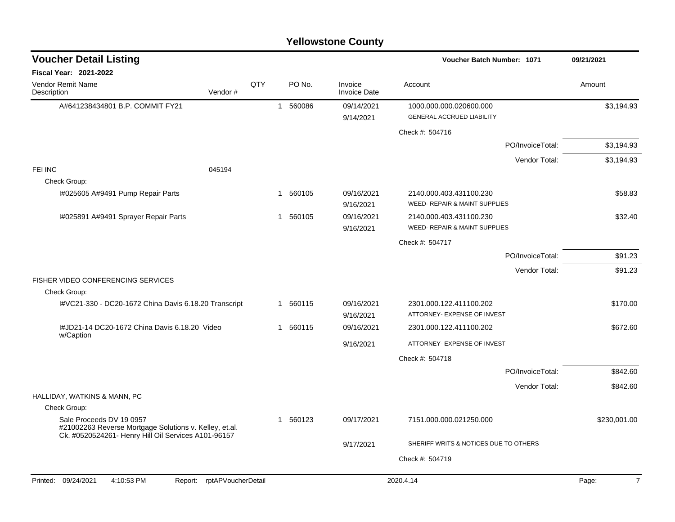| <b>Voucher Detail Listing</b>                                                                                                             |                    |            |          |        |                                | Voucher Batch Number: 1071                                  |                  | 09/21/2021              |
|-------------------------------------------------------------------------------------------------------------------------------------------|--------------------|------------|----------|--------|--------------------------------|-------------------------------------------------------------|------------------|-------------------------|
| <b>Fiscal Year: 2021-2022</b>                                                                                                             |                    |            |          |        |                                |                                                             |                  |                         |
| <b>Vendor Remit Name</b><br>Description                                                                                                   | Vendor#            | <b>QTY</b> |          | PO No. | Invoice<br><b>Invoice Date</b> | Account                                                     |                  | Amount                  |
| A#641238434801 B.P. COMMIT FY21                                                                                                           |                    |            | 1 560086 |        | 09/14/2021<br>9/14/2021        | 1000.000.000.020600.000<br><b>GENERAL ACCRUED LIABILITY</b> |                  | \$3,194.93              |
|                                                                                                                                           |                    |            |          |        |                                |                                                             |                  |                         |
|                                                                                                                                           |                    |            |          |        |                                | Check #: 504716                                             |                  |                         |
|                                                                                                                                           |                    |            |          |        |                                |                                                             | PO/InvoiceTotal: | \$3,194.93              |
| FEI INC                                                                                                                                   | 045194             |            |          |        |                                |                                                             | Vendor Total:    | \$3,194.93              |
| Check Group:                                                                                                                              |                    |            |          |        |                                |                                                             |                  |                         |
| I#025605 A#9491 Pump Repair Parts                                                                                                         |                    |            | 1 560105 |        | 09/16/2021<br>9/16/2021        | 2140.000.403.431100.230<br>WEED- REPAIR & MAINT SUPPLIES    |                  | \$58.83                 |
| I#025891 A#9491 Sprayer Repair Parts                                                                                                      |                    |            | 1 560105 |        | 09/16/2021<br>9/16/2021        | 2140.000.403.431100.230<br>WEED- REPAIR & MAINT SUPPLIES    |                  | \$32.40                 |
|                                                                                                                                           |                    |            |          |        |                                | Check #: 504717                                             |                  |                         |
|                                                                                                                                           |                    |            |          |        |                                |                                                             | PO/InvoiceTotal: | \$91.23                 |
|                                                                                                                                           |                    |            |          |        |                                |                                                             | Vendor Total:    | \$91.23                 |
| FISHER VIDEO CONFERENCING SERVICES<br>Check Group:                                                                                        |                    |            |          |        |                                |                                                             |                  |                         |
| I#VC21-330 - DC20-1672 China Davis 6.18.20 Transcript                                                                                     |                    |            | 1 560115 |        | 09/16/2021                     | 2301.000.122.411100.202                                     |                  | \$170.00                |
|                                                                                                                                           |                    |            |          |        | 9/16/2021                      | ATTORNEY- EXPENSE OF INVEST                                 |                  |                         |
| I#JD21-14 DC20-1672 China Davis 6.18.20 Video                                                                                             |                    |            | 1 560115 |        | 09/16/2021                     | 2301.000.122.411100.202                                     |                  | \$672.60                |
| w/Caption                                                                                                                                 |                    |            |          |        | 9/16/2021                      | ATTORNEY- EXPENSE OF INVEST                                 |                  |                         |
|                                                                                                                                           |                    |            |          |        |                                | Check #: 504718                                             |                  |                         |
|                                                                                                                                           |                    |            |          |        |                                |                                                             | PO/InvoiceTotal: | \$842.60                |
|                                                                                                                                           |                    |            |          |        |                                |                                                             | Vendor Total:    | \$842.60                |
| HALLIDAY, WATKINS & MANN, PC                                                                                                              |                    |            |          |        |                                |                                                             |                  |                         |
| Check Group:                                                                                                                              |                    |            |          |        |                                |                                                             |                  |                         |
| Sale Proceeds DV 19 0957<br>#21002263 Reverse Mortgage Solutions v. Kelley, et.al.<br>Ck. #0520524261- Henry Hill Oil Services A101-96157 |                    |            | 1 560123 |        | 09/17/2021                     | 7151.000.000.021250.000                                     |                  | \$230,001.00            |
|                                                                                                                                           |                    |            |          |        | 9/17/2021                      | SHERIFF WRITS & NOTICES DUE TO OTHERS                       |                  |                         |
|                                                                                                                                           |                    |            |          |        |                                | Check #: 504719                                             |                  |                         |
|                                                                                                                                           |                    |            |          |        |                                |                                                             |                  |                         |
| Printed: 09/24/2021<br>4:10:53 PM<br>Report:                                                                                              | rptAPVoucherDetail |            |          |        |                                | 2020.4.14                                                   |                  | $\overline{7}$<br>Page: |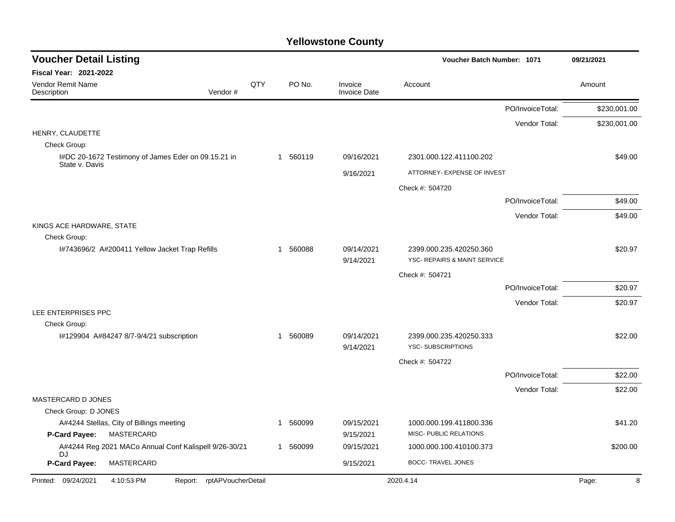| <b>Voucher Detail Listing</b>                                         |     |              |                                | Voucher Batch Number: 1071                              |                  | 09/21/2021   |
|-----------------------------------------------------------------------|-----|--------------|--------------------------------|---------------------------------------------------------|------------------|--------------|
| <b>Fiscal Year: 2021-2022</b>                                         |     |              |                                |                                                         |                  |              |
| <b>Vendor Remit Name</b><br>Vendor#<br>Description                    | QTY | PO No.       | Invoice<br><b>Invoice Date</b> | Account                                                 |                  | Amount       |
|                                                                       |     |              |                                |                                                         | PO/InvoiceTotal: | \$230,001.00 |
|                                                                       |     |              |                                |                                                         | Vendor Total:    | \$230,001.00 |
| HENRY, CLAUDETTE<br>Check Group:                                      |     |              |                                |                                                         |                  |              |
| I#DC 20-1672 Testimony of James Eder on 09.15.21 in<br>State v. Davis |     | 1 560119     | 09/16/2021                     | 2301.000.122.411100.202                                 |                  | \$49.00      |
|                                                                       |     |              | 9/16/2021                      | ATTORNEY- EXPENSE OF INVEST                             |                  |              |
|                                                                       |     |              |                                | Check #: 504720                                         |                  |              |
|                                                                       |     |              |                                |                                                         | PO/InvoiceTotal: | \$49.00      |
|                                                                       |     |              |                                |                                                         | Vendor Total:    | \$49.00      |
| KINGS ACE HARDWARE, STATE<br>Check Group:                             |     |              |                                |                                                         |                  |              |
| I#743696/2 A#200411 Yellow Jacket Trap Refills                        |     | 560088<br>-1 | 09/14/2021<br>9/14/2021        | 2399.000.235.420250.360<br>YSC- REPAIRS & MAINT SERVICE |                  | \$20.97      |
|                                                                       |     |              |                                | Check #: 504721                                         |                  |              |
|                                                                       |     |              |                                |                                                         | PO/InvoiceTotal: | \$20.97      |
|                                                                       |     |              |                                |                                                         | Vendor Total:    | \$20.97      |
| LEE ENTERPRISES PPC                                                   |     |              |                                |                                                         |                  |              |
| Check Group:                                                          |     |              | 09/14/2021                     |                                                         |                  |              |
| #129904 A#84247 8/7-9/4/21 subscription                               |     | 1 560089     | 9/14/2021                      | 2399.000.235.420250.333<br><b>YSC-SUBSCRIPTIONS</b>     |                  | \$22.00      |
|                                                                       |     |              |                                | Check #: 504722                                         |                  |              |
|                                                                       |     |              |                                |                                                         | PO/InvoiceTotal: | \$22.00      |
|                                                                       |     |              |                                |                                                         | Vendor Total:    | \$22.00      |
| MASTERCARD D JONES                                                    |     |              |                                |                                                         |                  |              |
| Check Group: D JONES                                                  |     |              |                                |                                                         |                  |              |
| A#4244 Stellas, City of Billings meeting                              |     | 560099<br>1  | 09/15/2021                     | 1000.000.199.411800.336<br>MISC- PUBLIC RELATIONS       |                  | \$41.20      |
| P-Card Payee:<br><b>MASTERCARD</b>                                    |     |              | 9/15/2021                      |                                                         |                  |              |
| A#4244 Reg 2021 MACo Annual Conf Kalispell 9/26-30/21<br>DJ           |     | 1 560099     | 09/15/2021                     | 1000.000.100.410100.373                                 |                  | \$200.00     |
| P-Card Payee:<br>MASTERCARD                                           |     |              | 9/15/2021                      | <b>BOCC- TRAVEL JONES</b>                               |                  |              |
| Printed: 09/24/2021<br>4:10:53 PM<br>rptAPVoucherDetail<br>Report:    |     |              |                                | 2020.4.14                                               |                  | Page:<br>8   |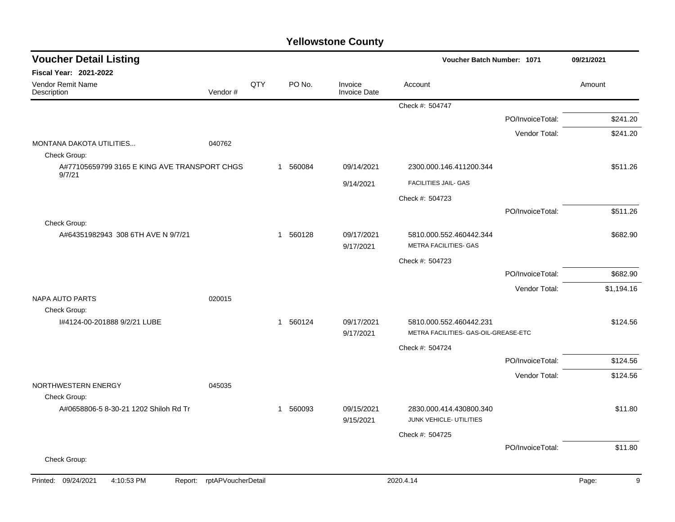| <b>Voucher Detail Listing</b>                          |                            |     |          |                                | Voucher Batch Number: 1071                                      | 09/21/2021       |            |
|--------------------------------------------------------|----------------------------|-----|----------|--------------------------------|-----------------------------------------------------------------|------------------|------------|
| Fiscal Year: 2021-2022                                 |                            |     |          |                                |                                                                 |                  |            |
| Vendor Remit Name<br>Description                       | Vendor#                    | QTY | PO No.   | Invoice<br><b>Invoice Date</b> | Account                                                         |                  | Amount     |
|                                                        |                            |     |          |                                | Check #: 504747                                                 |                  |            |
|                                                        |                            |     |          |                                |                                                                 | PO/InvoiceTotal: | \$241.20   |
|                                                        |                            |     |          |                                |                                                                 | Vendor Total:    | \$241.20   |
| MONTANA DAKOTA UTILITIES<br>Check Group:               | 040762                     |     |          |                                |                                                                 |                  |            |
| A#77105659799 3165 E KING AVE TRANSPORT CHGS<br>9/7/21 |                            |     | 1 560084 | 09/14/2021                     | 2300.000.146.411200.344                                         |                  | \$511.26   |
|                                                        |                            |     |          | 9/14/2021                      | FACILITIES JAIL- GAS                                            |                  |            |
|                                                        |                            |     |          |                                | Check #: 504723                                                 |                  |            |
|                                                        |                            |     |          |                                |                                                                 | PO/InvoiceTotal: | \$511.26   |
| Check Group:<br>A#64351982943 308 6TH AVE N 9/7/21     |                            |     | 1 560128 | 09/17/2021<br>9/17/2021        | 5810.000.552.460442.344<br>METRA FACILITIES- GAS                |                  | \$682.90   |
|                                                        |                            |     |          |                                | Check #: 504723                                                 |                  |            |
|                                                        |                            |     |          |                                |                                                                 | PO/InvoiceTotal: | \$682.90   |
|                                                        |                            |     |          |                                |                                                                 | Vendor Total:    | \$1,194.16 |
| <b>NAPA AUTO PARTS</b>                                 | 020015                     |     |          |                                |                                                                 |                  |            |
| Check Group:                                           |                            |     |          |                                |                                                                 |                  |            |
| I#4124-00-201888 9/2/21 LUBE                           |                            |     | 1 560124 | 09/17/2021<br>9/17/2021        | 5810.000.552.460442.231<br>METRA FACILITIES- GAS-OIL-GREASE-ETC |                  | \$124.56   |
|                                                        |                            |     |          |                                | Check #: 504724                                                 |                  |            |
|                                                        |                            |     |          |                                |                                                                 | PO/InvoiceTotal: | \$124.56   |
|                                                        |                            |     |          |                                |                                                                 | Vendor Total:    | \$124.56   |
| NORTHWESTERN ENERGY<br>Check Group:                    | 045035                     |     |          |                                |                                                                 |                  |            |
| A#0658806-5 8-30-21 1202 Shiloh Rd Tr                  |                            |     | 1 560093 | 09/15/2021                     | 2830.000.414.430800.340                                         |                  | \$11.80    |
|                                                        |                            |     |          | 9/15/2021                      | JUNK VEHICLE- UTILITIES                                         |                  |            |
|                                                        |                            |     |          |                                | Check #: 504725                                                 |                  |            |
|                                                        |                            |     |          |                                |                                                                 | PO/InvoiceTotal: | \$11.80    |
| Check Group:                                           |                            |     |          |                                |                                                                 |                  |            |
| Printed: 09/24/2021<br>4:10:53 PM                      | Report: rptAPVoucherDetail |     |          |                                | 2020.4.14                                                       |                  | 9<br>Page: |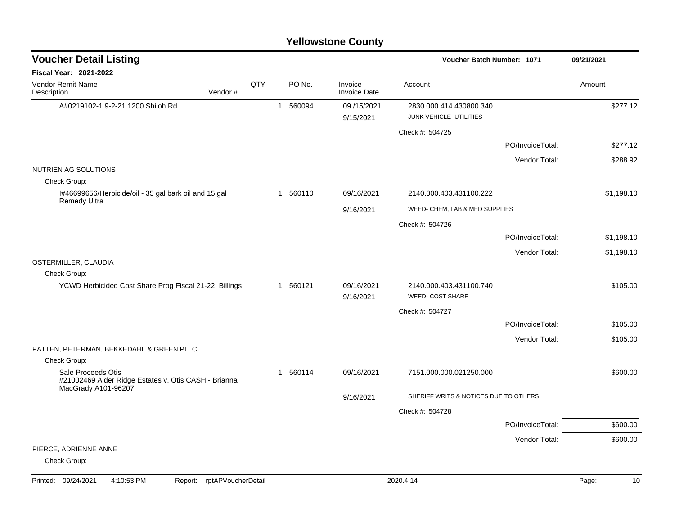| <b>Voucher Detail Listing</b>                                                                     |         |     | Voucher Batch Number: 1071 |          |                                |                                                    |                  | 09/21/2021 |
|---------------------------------------------------------------------------------------------------|---------|-----|----------------------------|----------|--------------------------------|----------------------------------------------------|------------------|------------|
| <b>Fiscal Year: 2021-2022</b>                                                                     |         |     |                            |          |                                |                                                    |                  |            |
| Vendor Remit Name<br>Description                                                                  | Vendor# | QTY |                            | PO No.   | Invoice<br><b>Invoice Date</b> | Account                                            |                  | Amount     |
| A#0219102-1 9-2-21 1200 Shiloh Rd                                                                 |         |     |                            | 1 560094 | 09/15/2021<br>9/15/2021        | 2830.000.414.430800.340<br>JUNK VEHICLE- UTILITIES |                  | \$277.12   |
|                                                                                                   |         |     |                            |          |                                | Check #: 504725                                    |                  |            |
|                                                                                                   |         |     |                            |          |                                |                                                    | PO/InvoiceTotal: | \$277.12   |
|                                                                                                   |         |     |                            |          |                                |                                                    | Vendor Total:    | \$288.92   |
| NUTRIEN AG SOLUTIONS                                                                              |         |     |                            |          |                                |                                                    |                  |            |
| Check Group:                                                                                      |         |     |                            |          |                                |                                                    |                  |            |
| I#46699656/Herbicide/oil - 35 gal bark oil and 15 gal<br>Remedy Ultra                             |         |     |                            | 1 560110 | 09/16/2021                     | 2140.000.403.431100.222                            |                  | \$1,198.10 |
|                                                                                                   |         |     |                            |          | 9/16/2021                      | WEED- CHEM, LAB & MED SUPPLIES                     |                  |            |
|                                                                                                   |         |     |                            |          |                                | Check #: 504726                                    |                  |            |
|                                                                                                   |         |     |                            |          |                                |                                                    | PO/InvoiceTotal: | \$1,198.10 |
|                                                                                                   |         |     |                            |          |                                |                                                    | Vendor Total:    | \$1,198.10 |
| OSTERMILLER, CLAUDIA                                                                              |         |     |                            |          |                                |                                                    |                  |            |
| Check Group:                                                                                      |         |     |                            |          |                                |                                                    |                  |            |
| YCWD Herbicided Cost Share Prog Fiscal 21-22, Billings                                            |         |     |                            | 1 560121 | 09/16/2021<br>9/16/2021        | 2140.000.403.431100.740<br>WEED- COST SHARE        |                  | \$105.00   |
|                                                                                                   |         |     |                            |          |                                | Check #: 504727                                    |                  |            |
|                                                                                                   |         |     |                            |          |                                |                                                    | PO/InvoiceTotal: | \$105.00   |
|                                                                                                   |         |     |                            |          |                                |                                                    | Vendor Total:    | \$105.00   |
| PATTEN, PETERMAN, BEKKEDAHL & GREEN PLLC                                                          |         |     |                            |          |                                |                                                    |                  |            |
| Check Group:                                                                                      |         |     |                            |          |                                |                                                    |                  |            |
| Sale Proceeds Otis<br>#21002469 Alder Ridge Estates v. Otis CASH - Brianna<br>MacGrady A101-96207 |         |     |                            | 1 560114 | 09/16/2021                     | 7151.000.000.021250.000                            |                  | \$600.00   |
|                                                                                                   |         |     |                            |          | 9/16/2021                      | SHERIFF WRITS & NOTICES DUE TO OTHERS              |                  |            |
|                                                                                                   |         |     |                            |          |                                | Check #: 504728                                    |                  |            |
|                                                                                                   |         |     |                            |          |                                |                                                    | PO/InvoiceTotal: | \$600.00   |
|                                                                                                   |         |     |                            |          |                                |                                                    | Vendor Total:    | \$600.00   |
| PIERCE, ADRIENNE ANNE<br>Check Group:                                                             |         |     |                            |          |                                |                                                    |                  |            |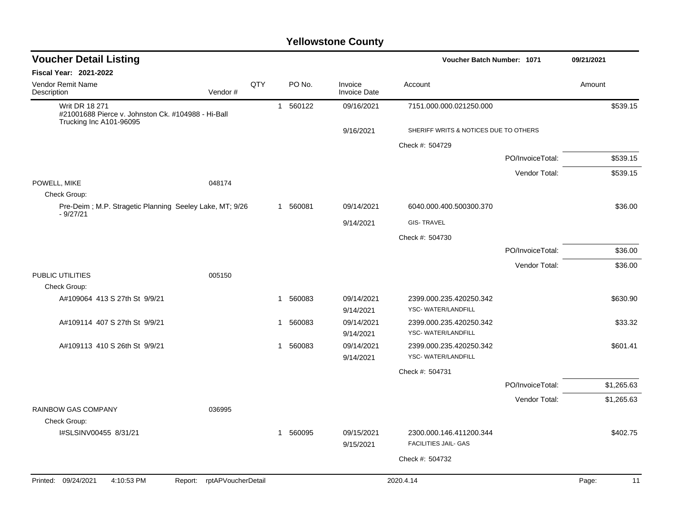| <b>Voucher Detail Listing</b>                                               |                            |     |          |                                | Voucher Batch Number: 1071                    |                  |            |  |
|-----------------------------------------------------------------------------|----------------------------|-----|----------|--------------------------------|-----------------------------------------------|------------------|------------|--|
| Fiscal Year: 2021-2022                                                      |                            |     |          |                                |                                               |                  |            |  |
| Vendor Remit Name<br>Description                                            | Vendor#                    | QTY | PO No.   | Invoice<br><b>Invoice Date</b> | Account                                       |                  | Amount     |  |
| <b>Writ DR 18 271</b><br>#21001688 Pierce v. Johnston Ck. #104988 - Hi-Ball |                            |     | 1 560122 | 09/16/2021                     | 7151.000.000.021250.000                       |                  | \$539.15   |  |
| Trucking Inc A101-96095                                                     |                            |     |          | 9/16/2021                      | SHERIFF WRITS & NOTICES DUE TO OTHERS         |                  |            |  |
|                                                                             |                            |     |          |                                | Check #: 504729                               |                  |            |  |
|                                                                             |                            |     |          |                                |                                               | PO/InvoiceTotal: | \$539.15   |  |
|                                                                             |                            |     |          |                                |                                               | Vendor Total:    | \$539.15   |  |
| POWELL, MIKE                                                                | 048174                     |     |          |                                |                                               |                  |            |  |
| Check Group:                                                                |                            |     |          |                                |                                               |                  |            |  |
| Pre-Deim; M.P. Stragetic Planning Seeley Lake, MT; 9/26<br>$-9/27/21$       |                            |     | 1 560081 | 09/14/2021                     | 6040.000.400.500300.370                       |                  | \$36.00    |  |
|                                                                             |                            |     |          | 9/14/2021                      | <b>GIS-TRAVEL</b>                             |                  |            |  |
|                                                                             |                            |     |          |                                | Check #: 504730                               |                  |            |  |
|                                                                             |                            |     |          |                                |                                               | PO/InvoiceTotal: | \$36.00    |  |
|                                                                             |                            |     |          |                                |                                               | Vendor Total:    | \$36.00    |  |
| PUBLIC UTILITIES                                                            | 005150                     |     |          |                                |                                               |                  |            |  |
| Check Group:                                                                |                            |     |          |                                |                                               |                  |            |  |
| A#109064 413 S 27th St 9/9/21                                               |                            |     | 1 560083 | 09/14/2021<br>9/14/2021        | 2399.000.235.420250.342<br>YSC-WATER/LANDFILL |                  | \$630.90   |  |
| A#109114 407 S 27th St 9/9/21                                               |                            |     | 1 560083 | 09/14/2021                     | 2399.000.235.420250.342                       |                  | \$33.32    |  |
|                                                                             |                            |     |          | 9/14/2021                      | YSC-WATER/LANDFILL                            |                  |            |  |
| A#109113 410 S 26th St 9/9/21                                               |                            |     | 1 560083 | 09/14/2021<br>9/14/2021        | 2399.000.235.420250.342<br>YSC-WATER/LANDFILL |                  | \$601.41   |  |
|                                                                             |                            |     |          |                                | Check #: 504731                               |                  |            |  |
|                                                                             |                            |     |          |                                |                                               | PO/InvoiceTotal: | \$1,265.63 |  |
|                                                                             |                            |     |          |                                |                                               |                  |            |  |
| RAINBOW GAS COMPANY                                                         | 036995                     |     |          |                                |                                               | Vendor Total:    | \$1,265.63 |  |
| Check Group:                                                                |                            |     |          |                                |                                               |                  |            |  |
| I#SLSINV00455 8/31/21                                                       |                            |     | 1 560095 | 09/15/2021                     | 2300.000.146.411200.344                       |                  | \$402.75   |  |
|                                                                             |                            |     |          | 9/15/2021                      | <b>FACILITIES JAIL- GAS</b>                   |                  |            |  |
|                                                                             |                            |     |          |                                | Check #: 504732                               |                  |            |  |
| Printed: 09/24/2021                                                         |                            |     |          |                                | 2020.4.14                                     |                  | 11         |  |
| 4:10:53 PM                                                                  | Report: rptAPVoucherDetail |     |          |                                |                                               |                  | Page:      |  |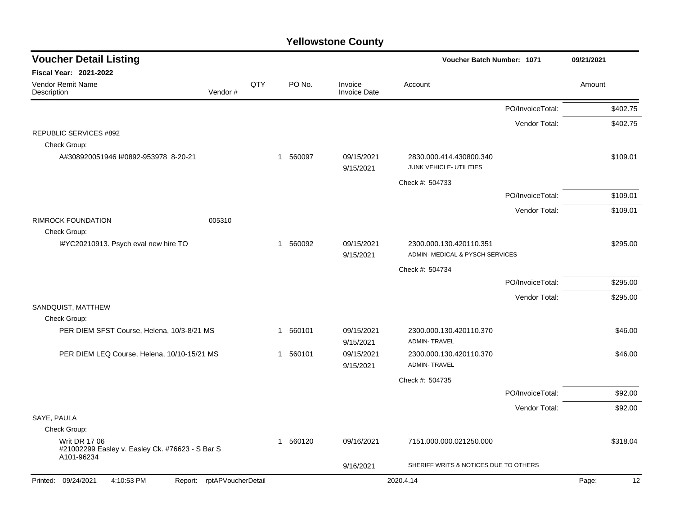| <b>Voucher Detail Listing</b>                                                         |                            |     |                        |                                | Voucher Batch Number: 1071                                 |                  | 09/21/2021 |          |
|---------------------------------------------------------------------------------------|----------------------------|-----|------------------------|--------------------------------|------------------------------------------------------------|------------------|------------|----------|
| <b>Fiscal Year: 2021-2022</b>                                                         |                            |     |                        |                                |                                                            |                  |            |          |
| Vendor Remit Name<br>Description                                                      | Vendor#                    | QTY | PO No.                 | Invoice<br><b>Invoice Date</b> | Account                                                    |                  | Amount     |          |
|                                                                                       |                            |     |                        |                                |                                                            | PO/InvoiceTotal: |            | \$402.75 |
|                                                                                       |                            |     |                        |                                |                                                            | Vendor Total:    |            | \$402.75 |
| <b>REPUBLIC SERVICES #892</b><br>Check Group:                                         |                            |     |                        |                                |                                                            |                  |            |          |
| A#308920051946 I#0892-953978 8-20-21                                                  |                            |     | 560097<br>$\mathbf{1}$ | 09/15/2021<br>9/15/2021        | 2830.000.414.430800.340<br>JUNK VEHICLE- UTILITIES         |                  |            | \$109.01 |
|                                                                                       |                            |     |                        |                                | Check #: 504733                                            |                  |            |          |
|                                                                                       |                            |     |                        |                                |                                                            | PO/InvoiceTotal: |            | \$109.01 |
|                                                                                       |                            |     |                        |                                |                                                            | Vendor Total:    |            | \$109.01 |
| <b>RIMROCK FOUNDATION</b><br>Check Group:                                             | 005310                     |     |                        |                                |                                                            |                  |            |          |
| I#YC20210913. Psych eval new hire TO                                                  |                            |     | 560092<br>$\mathbf{1}$ | 09/15/2021<br>9/15/2021        | 2300.000.130.420110.351<br>ADMIN- MEDICAL & PYSCH SERVICES |                  |            | \$295.00 |
|                                                                                       |                            |     |                        |                                | Check #: 504734                                            |                  |            |          |
|                                                                                       |                            |     |                        |                                |                                                            | PO/InvoiceTotal: |            | \$295.00 |
|                                                                                       |                            |     |                        |                                |                                                            | Vendor Total:    |            | \$295.00 |
| SANDQUIST, MATTHEW                                                                    |                            |     |                        |                                |                                                            |                  |            |          |
| Check Group:<br>PER DIEM SFST Course, Helena, 10/3-8/21 MS                            |                            |     | 560101<br>$\mathbf{1}$ | 09/15/2021                     | 2300.000.130.420110.370                                    |                  |            | \$46.00  |
|                                                                                       |                            |     |                        | 9/15/2021                      | <b>ADMIN-TRAVEL</b>                                        |                  |            |          |
| PER DIEM LEQ Course, Helena, 10/10-15/21 MS                                           |                            |     | 560101<br>$\mathbf{1}$ | 09/15/2021<br>9/15/2021        | 2300.000.130.420110.370<br><b>ADMIN-TRAVEL</b>             |                  |            | \$46.00  |
|                                                                                       |                            |     |                        |                                | Check #: 504735                                            |                  |            |          |
|                                                                                       |                            |     |                        |                                |                                                            | PO/InvoiceTotal: |            | \$92.00  |
|                                                                                       |                            |     |                        |                                |                                                            | Vendor Total:    |            | \$92.00  |
| SAYE, PAULA                                                                           |                            |     |                        |                                |                                                            |                  |            |          |
| Check Group:                                                                          |                            |     |                        |                                |                                                            |                  |            |          |
| <b>Writ DR 17 06</b><br>#21002299 Easley v. Easley Ck. #76623 - S Bar S<br>A101-96234 |                            |     | 1 560120               | 09/16/2021                     | 7151.000.000.021250.000                                    |                  |            | \$318.04 |
|                                                                                       |                            |     |                        | 9/16/2021                      | SHERIFF WRITS & NOTICES DUE TO OTHERS                      |                  |            |          |
| Printed: 09/24/2021<br>4:10:53 PM                                                     | Report: rptAPVoucherDetail |     |                        |                                | 2020.4.14                                                  |                  | Page:      | 12       |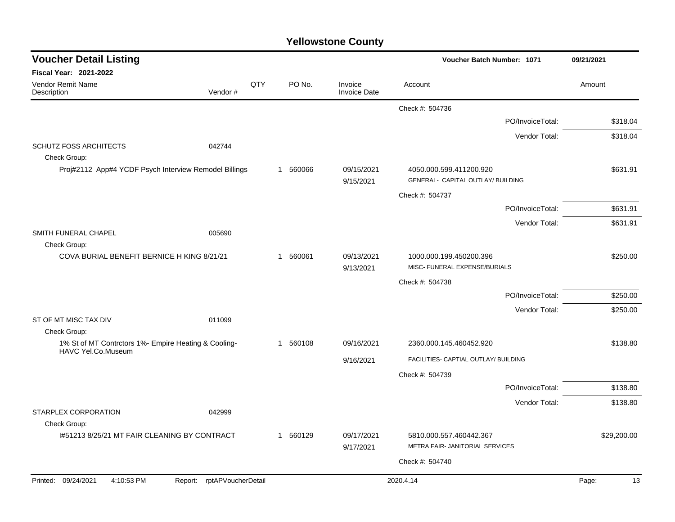|  | <b>Yellowstone County</b> |  |
|--|---------------------------|--|
|--|---------------------------|--|

| <b>Voucher Detail Listing</b>                                              |                               |     |              |                                | Voucher Batch Number: 1071                                   |                  | 09/21/2021  |
|----------------------------------------------------------------------------|-------------------------------|-----|--------------|--------------------------------|--------------------------------------------------------------|------------------|-------------|
| Fiscal Year: 2021-2022                                                     |                               |     |              |                                |                                                              |                  |             |
| Vendor Remit Name<br>Description                                           | Vendor#                       | QTY | PO No.       | Invoice<br><b>Invoice Date</b> | Account                                                      |                  | Amount      |
|                                                                            |                               |     |              |                                | Check #: 504736                                              |                  |             |
|                                                                            |                               |     |              |                                |                                                              | PO/InvoiceTotal: | \$318.04    |
|                                                                            |                               |     |              |                                |                                                              | Vendor Total:    | \$318.04    |
| <b>SCHUTZ FOSS ARCHITECTS</b><br>Check Group:                              | 042744                        |     |              |                                |                                                              |                  |             |
| Proj#2112 App#4 YCDF Psych Interview Remodel Billings                      |                               |     | 560066<br>1  | 09/15/2021<br>9/15/2021        | 4050.000.599.411200.920<br>GENERAL- CAPITAL OUTLAY/ BUILDING |                  | \$631.91    |
|                                                                            |                               |     |              |                                | Check #: 504737                                              |                  |             |
|                                                                            |                               |     |              |                                |                                                              | PO/InvoiceTotal: | \$631.91    |
|                                                                            |                               |     |              |                                |                                                              | Vendor Total:    | \$631.91    |
| SMITH FUNERAL CHAPEL<br>Check Group:                                       | 005690                        |     |              |                                |                                                              |                  |             |
| COVA BURIAL BENEFIT BERNICE H KING 8/21/21                                 |                               |     | 560061<br>-1 | 09/13/2021<br>9/13/2021        | 1000.000.199.450200.396<br>MISC- FUNERAL EXPENSE/BURIALS     |                  | \$250.00    |
|                                                                            |                               |     |              |                                | Check #: 504738                                              |                  |             |
|                                                                            |                               |     |              |                                |                                                              | PO/InvoiceTotal: | \$250.00    |
|                                                                            |                               |     |              |                                |                                                              | Vendor Total:    | \$250.00    |
| ST OF MT MISC TAX DIV<br>Check Group:                                      | 011099                        |     |              |                                |                                                              |                  |             |
| 1% St of MT Contrctors 1%- Empire Heating & Cooling-<br>HAVC Yel.Co.Museum |                               |     | 560108<br>-1 | 09/16/2021                     | 2360.000.145.460452.920                                      |                  | \$138.80    |
|                                                                            |                               |     |              | 9/16/2021                      | FACILITIES- CAPTIAL OUTLAY/ BUILDING                         |                  |             |
|                                                                            |                               |     |              |                                | Check #: 504739                                              |                  |             |
|                                                                            |                               |     |              |                                |                                                              | PO/InvoiceTotal: | \$138.80    |
|                                                                            |                               |     |              |                                |                                                              | Vendor Total:    | \$138.80    |
| STARPLEX CORPORATION<br>Check Group:                                       | 042999                        |     |              |                                |                                                              |                  |             |
| 1#51213 8/25/21 MT FAIR CLEANING BY CONTRACT                               |                               |     | 1 560129     | 09/17/2021<br>9/17/2021        | 5810.000.557.460442.367<br>METRA FAIR- JANITORIAL SERVICES   |                  | \$29,200.00 |
|                                                                            |                               |     |              |                                | Check #: 504740                                              |                  |             |
|                                                                            |                               |     |              |                                |                                                              |                  |             |
| Printed: 09/24/2021<br>4:10:53 PM                                          | rptAPVoucherDetail<br>Report: |     |              |                                | 2020.4.14                                                    |                  | Page:<br>13 |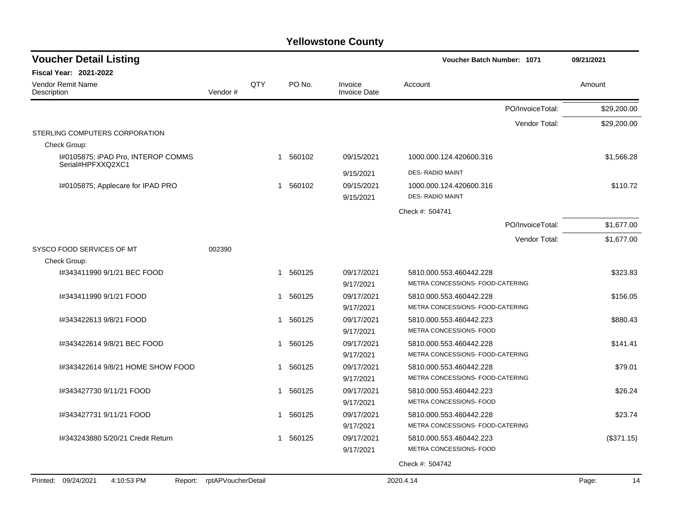| <b>Voucher Detail Listing</b>                           |                    |     |   |        |                                | <b>Voucher Batch Number: 1071</b> |                  | 09/21/2021  |
|---------------------------------------------------------|--------------------|-----|---|--------|--------------------------------|-----------------------------------|------------------|-------------|
| <b>Fiscal Year: 2021-2022</b>                           |                    |     |   |        |                                |                                   |                  |             |
| <b>Vendor Remit Name</b><br>Description                 | Vendor#            | QTY |   | PO No. | Invoice<br><b>Invoice Date</b> | Account                           |                  | Amount      |
|                                                         |                    |     |   |        |                                |                                   | PO/InvoiceTotal: | \$29,200.00 |
|                                                         |                    |     |   |        |                                |                                   | Vendor Total:    | \$29,200.00 |
| STERLING COMPUTERS CORPORATION<br>Check Group:          |                    |     |   |        |                                |                                   |                  |             |
| I#0105875; iPAD Pro, INTEROP COMMS<br>Serial#HPFXXQ2XC1 |                    |     | 1 | 560102 | 09/15/2021                     | 1000.000.124.420600.316           |                  | \$1,566.28  |
|                                                         |                    |     |   |        | 9/15/2021                      | <b>DES- RADIO MAINT</b>           |                  |             |
| I#0105875; Applecare for IPAD PRO                       |                    |     | 1 | 560102 | 09/15/2021                     | 1000.000.124.420600.316           |                  | \$110.72    |
|                                                         |                    |     |   |        | 9/15/2021                      | <b>DES- RADIO MAINT</b>           |                  |             |
|                                                         |                    |     |   |        |                                | Check #: 504741                   |                  |             |
|                                                         |                    |     |   |        |                                |                                   | PO/InvoiceTotal: | \$1,677.00  |
|                                                         |                    |     |   |        |                                |                                   | Vendor Total:    | \$1,677.00  |
| SYSCO FOOD SERVICES OF MT                               | 002390             |     |   |        |                                |                                   |                  |             |
| Check Group:                                            |                    |     |   |        |                                |                                   |                  |             |
| 1#343411990 9/1/21 BEC FOOD                             |                    |     | 1 | 560125 | 09/17/2021                     | 5810.000.553.460442.228           |                  | \$323.83    |
|                                                         |                    |     |   |        | 9/17/2021                      | METRA CONCESSIONS- FOOD-CATERING  |                  |             |
| I#343411990 9/1/21 FOOD                                 |                    |     | 1 | 560125 | 09/17/2021                     | 5810.000.553.460442.228           |                  | \$156.05    |
|                                                         |                    |     |   |        | 9/17/2021                      | METRA CONCESSIONS- FOOD-CATERING  |                  |             |
| I#343422613 9/8/21 FOOD                                 |                    |     | 1 | 560125 | 09/17/2021                     | 5810.000.553.460442.223           |                  | \$880.43    |
|                                                         |                    |     |   |        | 9/17/2021                      | METRA CONCESSIONS- FOOD           |                  |             |
| I#343422614 9/8/21 BEC FOOD                             |                    |     | 1 | 560125 | 09/17/2021                     | 5810.000.553.460442.228           |                  | \$141.41    |
|                                                         |                    |     |   |        | 9/17/2021                      | METRA CONCESSIONS- FOOD-CATERING  |                  |             |
| 1#343422614 9/8/21 HOME SHOW FOOD                       |                    |     | 1 | 560125 | 09/17/2021                     | 5810.000.553.460442.228           |                  | \$79.01     |
|                                                         |                    |     |   |        | 9/17/2021                      | METRA CONCESSIONS- FOOD-CATERING  |                  |             |
| I#343427730 9/11/21 FOOD                                |                    |     | 1 | 560125 | 09/17/2021                     | 5810.000.553.460442.223           |                  | \$26.24     |
|                                                         |                    |     |   |        | 9/17/2021                      | METRA CONCESSIONS- FOOD           |                  |             |
| I#343427731 9/11/21 FOOD                                |                    |     | 1 | 560125 | 09/17/2021                     | 5810.000.553.460442.228           |                  | \$23.74     |
|                                                         |                    |     |   |        | 9/17/2021                      | METRA CONCESSIONS- FOOD-CATERING  |                  |             |
| I#343243880 5/20/21 Credit Return                       |                    |     | 1 | 560125 | 09/17/2021                     | 5810.000.553.460442.223           |                  | (\$371.15)  |
|                                                         |                    |     |   |        | 9/17/2021                      | METRA CONCESSIONS- FOOD           |                  |             |
|                                                         |                    |     |   |        |                                | Check #: 504742                   |                  |             |
| Printed: 09/24/2021<br>4:10:53 PM<br>Report:            | rptAPVoucherDetail |     |   |        |                                | 2020.4.14                         |                  | 14<br>Page: |
|                                                         |                    |     |   |        |                                |                                   |                  |             |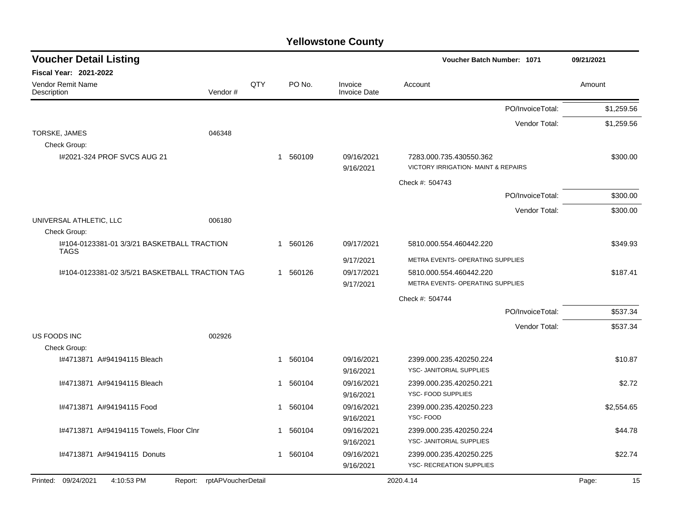| <b>Voucher Detail Listing</b>                              |                    |     |                        |                                | Voucher Batch Number: 1071                                                |                  | 09/21/2021 |
|------------------------------------------------------------|--------------------|-----|------------------------|--------------------------------|---------------------------------------------------------------------------|------------------|------------|
| <b>Fiscal Year: 2021-2022</b>                              |                    |     |                        |                                |                                                                           |                  |            |
| Vendor Remit Name<br>Description                           | Vendor#            | QTY | PO No.                 | Invoice<br><b>Invoice Date</b> | Account                                                                   |                  | Amount     |
|                                                            |                    |     |                        |                                |                                                                           | PO/InvoiceTotal: | \$1,259.56 |
|                                                            |                    |     |                        |                                |                                                                           | Vendor Total:    | \$1,259.56 |
| TORSKE, JAMES                                              | 046348             |     |                        |                                |                                                                           |                  |            |
| Check Group:                                               |                    |     |                        |                                |                                                                           |                  |            |
| 1#2021-324 PROF SVCS AUG 21                                |                    |     | 1 560109               | 09/16/2021                     | 7283.000.735.430550.362<br><b>VICTORY IRRIGATION- MAINT &amp; REPAIRS</b> |                  | \$300.00   |
|                                                            |                    |     |                        | 9/16/2021                      |                                                                           |                  |            |
|                                                            |                    |     |                        |                                | Check #: 504743                                                           |                  |            |
|                                                            |                    |     |                        |                                |                                                                           | PO/InvoiceTotal: | \$300.00   |
|                                                            |                    |     |                        |                                |                                                                           | Vendor Total:    | \$300.00   |
| UNIVERSAL ATHLETIC, LLC                                    | 006180             |     |                        |                                |                                                                           |                  |            |
| Check Group:                                               |                    |     |                        |                                |                                                                           |                  |            |
| 1#104-0123381-01 3/3/21 BASKETBALL TRACTION<br><b>TAGS</b> |                    |     | 1 560126               | 09/17/2021                     | 5810.000.554.460442.220                                                   |                  | \$349.93   |
|                                                            |                    |     |                        | 9/17/2021                      | METRA EVENTS- OPERATING SUPPLIES                                          |                  |            |
| 1#104-0123381-02 3/5/21 BASKETBALL TRACTION TAG            |                    |     | 1 560126               | 09/17/2021                     | 5810.000.554.460442.220                                                   |                  | \$187.41   |
|                                                            |                    |     |                        | 9/17/2021                      | METRA EVENTS- OPERATING SUPPLIES                                          |                  |            |
|                                                            |                    |     |                        |                                | Check #: 504744                                                           |                  |            |
|                                                            |                    |     |                        |                                |                                                                           | PO/InvoiceTotal: | \$537.34   |
|                                                            |                    |     |                        |                                |                                                                           | Vendor Total:    | \$537.34   |
| US FOODS INC                                               | 002926             |     |                        |                                |                                                                           |                  |            |
| Check Group:                                               |                    |     |                        |                                |                                                                           |                  |            |
| I#4713871 A#94194115 Bleach                                |                    |     | 560104<br>$\mathbf{1}$ | 09/16/2021                     | 2399.000.235.420250.224                                                   |                  | \$10.87    |
|                                                            |                    |     |                        | 9/16/2021                      | YSC- JANITORIAL SUPPLIES                                                  |                  |            |
| I#4713871 A#94194115 Bleach                                |                    |     | 1 560104               | 09/16/2021                     | 2399.000.235.420250.221<br>YSC- FOOD SUPPLIES                             |                  | \$2.72     |
|                                                            |                    |     |                        | 9/16/2021                      |                                                                           |                  |            |
| I#4713871 A#94194115 Food                                  |                    |     | 1 560104               | 09/16/2021<br>9/16/2021        | 2399.000.235.420250.223<br>YSC-FOOD                                       |                  | \$2,554.65 |
| I#4713871 A#94194115 Towels, Floor Clnr                    |                    |     | 560104<br>$\mathbf{1}$ | 09/16/2021                     | 2399.000.235.420250.224                                                   |                  | \$44.78    |
|                                                            |                    |     |                        | 9/16/2021                      | YSC- JANITORIAL SUPPLIES                                                  |                  |            |
| I#4713871 A#94194115 Donuts                                |                    |     | 1 560104               | 09/16/2021                     | 2399.000.235.420250.225                                                   |                  | \$22.74    |
|                                                            |                    |     |                        | 9/16/2021                      | <b>YSC- RECREATION SUPPLIES</b>                                           |                  |            |
| Printed: 09/24/2021<br>4:10:53 PM                          | rptAPVoucherDetail |     |                        |                                | 2020.4.14                                                                 |                  | 15         |
|                                                            | Report:            |     |                        |                                |                                                                           |                  | Page:      |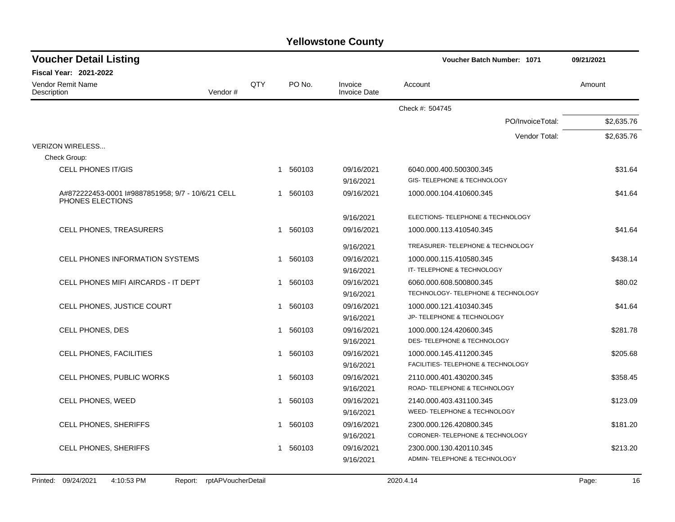| <b>Voucher Detail Listing</b>           |                                                   |     |                        |                                | Voucher Batch Number: 1071         | 09/21/2021 |
|-----------------------------------------|---------------------------------------------------|-----|------------------------|--------------------------------|------------------------------------|------------|
| <b>Fiscal Year: 2021-2022</b>           |                                                   |     |                        |                                |                                    |            |
| <b>Vendor Remit Name</b><br>Description | Vendor#                                           | QTY | PO No.                 | Invoice<br><b>Invoice Date</b> | Account                            | Amount     |
|                                         |                                                   |     |                        |                                | Check #: 504745                    |            |
|                                         |                                                   |     |                        |                                | PO/InvoiceTotal:                   | \$2,635.76 |
|                                         |                                                   |     |                        |                                | Vendor Total:                      | \$2,635.76 |
| <b>VERIZON WIRELESS</b>                 |                                                   |     |                        |                                |                                    |            |
| Check Group:                            |                                                   |     |                        |                                |                                    |            |
| <b>CELL PHONES IT/GIS</b>               |                                                   |     | 1 560103               | 09/16/2021                     | 6040.000.400.500300.345            | \$31.64    |
|                                         |                                                   |     |                        | 9/16/2021                      | GIS-TELEPHONE & TECHNOLOGY         |            |
| PHONES ELECTIONS                        | A#872222453-0001 I#9887851958; 9/7 - 10/6/21 CELL |     | 1 560103               | 09/16/2021                     | 1000.000.104.410600.345            | \$41.64    |
|                                         |                                                   |     |                        | 9/16/2021                      | ELECTIONS- TELEPHONE & TECHNOLOGY  |            |
| CELL PHONES, TREASURERS                 |                                                   |     | 560103<br>1            | 09/16/2021                     | 1000.000.113.410540.345            | \$41.64    |
|                                         |                                                   |     |                        | 9/16/2021                      | TREASURER-TELEPHONE & TECHNOLOGY   |            |
|                                         | <b>CELL PHONES INFORMATION SYSTEMS</b>            |     | 560103<br>$\mathbf{1}$ | 09/16/2021                     | 1000.000.115.410580.345            | \$438.14   |
|                                         |                                                   |     |                        | 9/16/2021                      | IT- TELEPHONE & TECHNOLOGY         |            |
|                                         | CELL PHONES MIFI AIRCARDS - IT DEPT               |     | 1 560103               | 09/16/2021                     | 6060.000.608.500800.345            | \$80.02    |
|                                         |                                                   |     |                        | 9/16/2021                      | TECHNOLOGY- TELEPHONE & TECHNOLOGY |            |
|                                         | CELL PHONES, JUSTICE COURT                        |     | 560103<br>1            | 09/16/2021                     | 1000.000.121.410340.345            | \$41.64    |
|                                         |                                                   |     |                        | 9/16/2021                      | JP- TELEPHONE & TECHNOLOGY         |            |
| CELL PHONES, DES                        |                                                   |     | 560103<br>1            | 09/16/2021                     | 1000.000.124.420600.345            | \$281.78   |
|                                         |                                                   |     |                        | 9/16/2021                      | DES- TELEPHONE & TECHNOLOGY        |            |
| CELL PHONES, FACILITIES                 |                                                   |     | 560103<br>$\mathbf 1$  | 09/16/2021                     | 1000.000.145.411200.345            | \$205.68   |
|                                         |                                                   |     |                        | 9/16/2021                      | FACILITIES- TELEPHONE & TECHNOLOGY |            |
|                                         | CELL PHONES, PUBLIC WORKS                         |     | 1 560103               | 09/16/2021                     | 2110.000.401.430200.345            | \$358.45   |
|                                         |                                                   |     |                        | 9/16/2021                      | ROAD- TELEPHONE & TECHNOLOGY       |            |
| CELL PHONES, WEED                       |                                                   |     | 560103<br>$\mathbf{1}$ | 09/16/2021                     | 2140.000.403.431100.345            | \$123.09   |
|                                         |                                                   |     |                        | 9/16/2021                      | WEED- TELEPHONE & TECHNOLOGY       |            |
| CELL PHONES, SHERIFFS                   |                                                   |     | 560103<br>$\mathbf{1}$ | 09/16/2021                     | 2300.000.126.420800.345            | \$181.20   |
|                                         |                                                   |     |                        | 9/16/2021                      | CORONER-TELEPHONE & TECHNOLOGY     |            |
| CELL PHONES, SHERIFFS                   |                                                   |     | 560103<br>1            | 09/16/2021                     | 2300.000.130.420110.345            | \$213.20   |
|                                         |                                                   |     |                        | 9/16/2021                      | ADMIN-TELEPHONE & TECHNOLOGY       |            |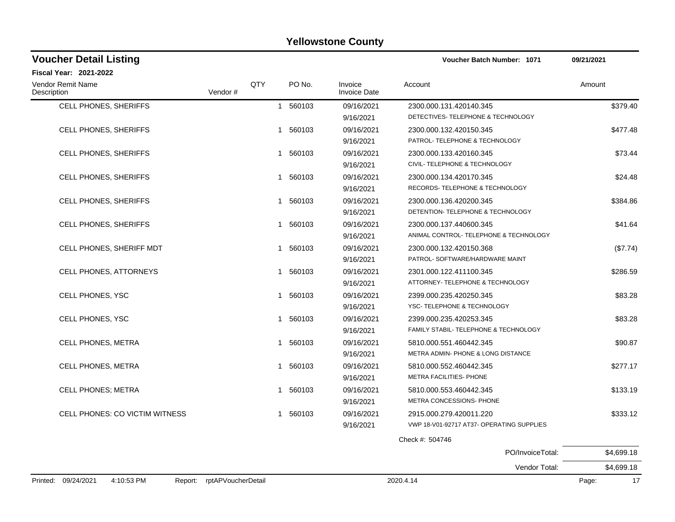| <b>Voucher Detail Listing</b>    |         |     |          |                                | <b>Voucher Batch Number: 1071</b>            | 09/21/2021 |
|----------------------------------|---------|-----|----------|--------------------------------|----------------------------------------------|------------|
| <b>Fiscal Year: 2021-2022</b>    |         |     |          |                                |                                              |            |
| Vendor Remit Name<br>Description | Vendor# | QTY | PO No.   | Invoice<br><b>Invoice Date</b> | Account                                      | Amount     |
| CELL PHONES, SHERIFFS            |         |     | 1 560103 | 09/16/2021                     | 2300.000.131.420140.345                      | \$379.40   |
|                                  |         |     |          | 9/16/2021                      | DETECTIVES- TELEPHONE & TECHNOLOGY           |            |
| <b>CELL PHONES, SHERIFFS</b>     |         |     | 1 560103 | 09/16/2021                     | 2300.000.132.420150.345                      | \$477.48   |
|                                  |         |     |          | 9/16/2021                      | PATROL-TELEPHONE & TECHNOLOGY                |            |
| CELL PHONES, SHERIFFS            |         |     | 1 560103 | 09/16/2021                     | 2300.000.133.420160.345                      | \$73.44    |
|                                  |         |     |          | 9/16/2021                      | CIVIL- TELEPHONE & TECHNOLOGY                |            |
| CELL PHONES, SHERIFFS            |         |     | 1 560103 | 09/16/2021                     | 2300.000.134.420170.345                      | \$24.48    |
|                                  |         |     |          | 9/16/2021                      | RECORDS- TELEPHONE & TECHNOLOGY              |            |
| <b>CELL PHONES, SHERIFFS</b>     |         |     | 1 560103 | 09/16/2021                     | 2300.000.136.420200.345                      | \$384.86   |
|                                  |         |     |          | 9/16/2021                      | DETENTION- TELEPHONE & TECHNOLOGY            |            |
| CELL PHONES, SHERIFFS            |         |     | 1 560103 | 09/16/2021                     | 2300.000.137.440600.345                      | \$41.64    |
|                                  |         |     |          | 9/16/2021                      | ANIMAL CONTROL-TELEPHONE & TECHNOLOGY        |            |
| CELL PHONES, SHERIFF MDT         |         |     | 1 560103 | 09/16/2021                     | 2300.000.132.420150.368                      | (\$7.74)   |
|                                  |         |     |          | 9/16/2021                      | PATROL- SOFTWARE/HARDWARE MAINT              |            |
| <b>CELL PHONES, ATTORNEYS</b>    |         |     | 1 560103 | 09/16/2021                     | 2301.000.122.411100.345                      | \$286.59   |
|                                  |         |     |          | 9/16/2021                      | ATTORNEY- TELEPHONE & TECHNOLOGY             |            |
| CELL PHONES, YSC                 |         |     | 1 560103 | 09/16/2021                     | 2399.000.235.420250.345                      | \$83.28    |
|                                  |         |     |          | 9/16/2021                      | YSC-TELEPHONE & TECHNOLOGY                   |            |
| CELL PHONES, YSC                 |         |     | 1 560103 | 09/16/2021                     | 2399.000.235.420253.345                      | \$83.28    |
|                                  |         |     |          | 9/16/2021                      | FAMILY STABIL- TELEPHONE & TECHNOLOGY        |            |
| CELL PHONES, METRA               |         |     | 1 560103 | 09/16/2021                     | 5810.000.551.460442.345                      | \$90.87    |
|                                  |         |     |          | 9/16/2021                      | <b>METRA ADMIN-PHONE &amp; LONG DISTANCE</b> |            |
| <b>CELL PHONES, METRA</b>        |         |     | 1 560103 | 09/16/2021                     | 5810.000.552.460442.345                      | \$277.17   |
|                                  |         |     |          | 9/16/2021                      | METRA FACILITIES- PHONE                      |            |
| <b>CELL PHONES; METRA</b>        |         |     | 1 560103 | 09/16/2021                     | 5810.000.553.460442.345                      | \$133.19   |
|                                  |         |     |          | 9/16/2021                      | METRA CONCESSIONS- PHONE                     |            |
| CELL PHONES: CO VICTIM WITNESS   |         |     | 1 560103 | 09/16/2021                     | 2915.000.279.420011.220                      | \$333.12   |
|                                  |         |     |          | 9/16/2021                      | VWP 18-V01-92717 AT37- OPERATING SUPPLIES    |            |
|                                  |         |     |          |                                | Check #: 504746                              |            |